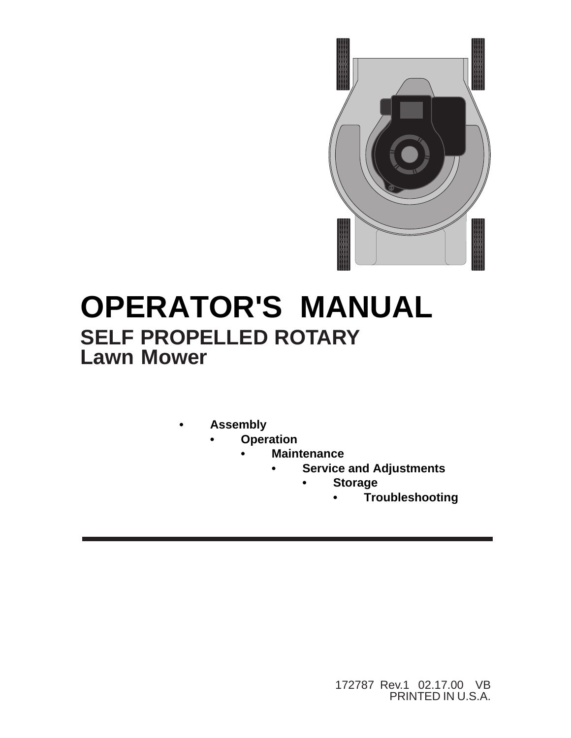

# **OPERATOR'S MANUAL SELF PROPELLED ROTARY Lawn Mower**

- **Assembly**
	- **Operation**
		- **Maintenance**
			- **Service and Adjustments**
				- **Storage**
					- **Troubleshooting**

172787 Rev.1 02.17.00 VB PRINTED IN U.S.A.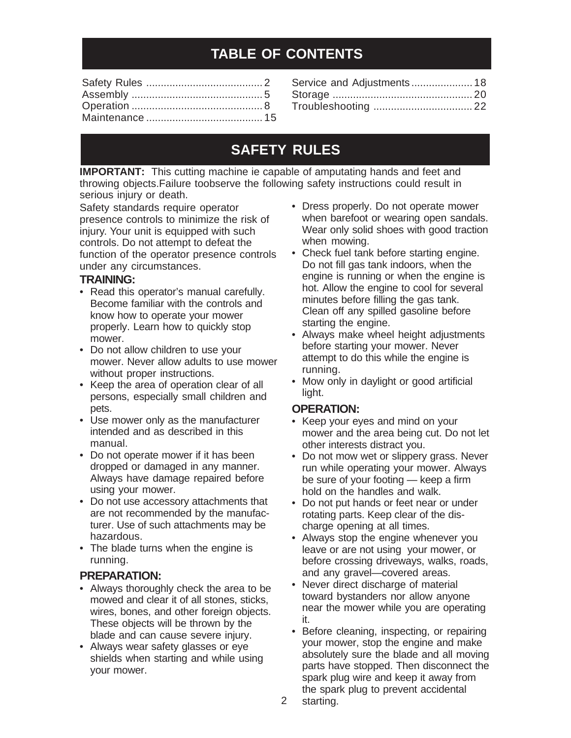## **TABLE OF CONTENTS**

| Service and Adjustments 18 |  |
|----------------------------|--|
|                            |  |
|                            |  |

## **SAFETY RULES**

**IMPORTANT:** This cutting machine ie capable of amputating hands and feet and throwing objects.Failure toobserve the following safety instructions could result in serious injury or death.

Safety standards require operator presence controls to minimize the risk of injury. Your unit is equipped with such controls. Do not attempt to defeat the function of the operator presence controls under any circumstances.

#### **TRAINING:**

- Read this operator's manual carefully. Become familiar with the controls and know how to operate your mower properly. Learn how to quickly stop mower.
- Do not allow children to use your mower. Never allow adults to use mower without proper instructions.
- Keep the area of operation clear of all persons, especially small children and pets.
- Use mower only as the manufacturer intended and as described in this manual.
- Do not operate mower if it has been dropped or damaged in any manner. Always have damage repaired before using your mower.
- Do not use accessory attachments that are not recommended by the manufacturer. Use of such attachments may be hazardous.
- The blade turns when the engine is running.

### **PREPARATION:**

- Always thoroughly check the area to be mowed and clear it of all stones, sticks, wires, bones, and other foreign objects. These objects will be thrown by the blade and can cause severe injury.
- Always wear safety glasses or eye shields when starting and while using your mower.
- Dress properly. Do not operate mower when barefoot or wearing open sandals. Wear only solid shoes with good traction when mowing.
- Check fuel tank before starting engine. Do not fill gas tank indoors, when the engine is running or when the engine is hot. Allow the engine to cool for several minutes before filling the gas tank. Clean off any spilled gasoline before starting the engine.
- Always make wheel height adjustments before starting your mower. Never attempt to do this while the engine is running.
- Mow only in daylight or good artificial light.

### **OPERATION:**

- Keep your eyes and mind on your mower and the area being cut. Do not let other interests distract you.
- Do not mow wet or slippery grass. Never run while operating your mower. Always be sure of your footing — keep a firm hold on the handles and walk.
- Do not put hands or feet near or under rotating parts. Keep clear of the discharge opening at all times.
- Always stop the engine whenever you leave or are not using your mower, or before crossing driveways, walks, roads, and any gravel—covered areas.
- Never direct discharge of material toward bystanders nor allow anyone near the mower while you are operating it.
- Before cleaning, inspecting, or repairing your mower, stop the engine and make absolutely sure the blade and all moving parts have stopped. Then disconnect the spark plug wire and keep it away from the spark plug to prevent accidental starting.
- 2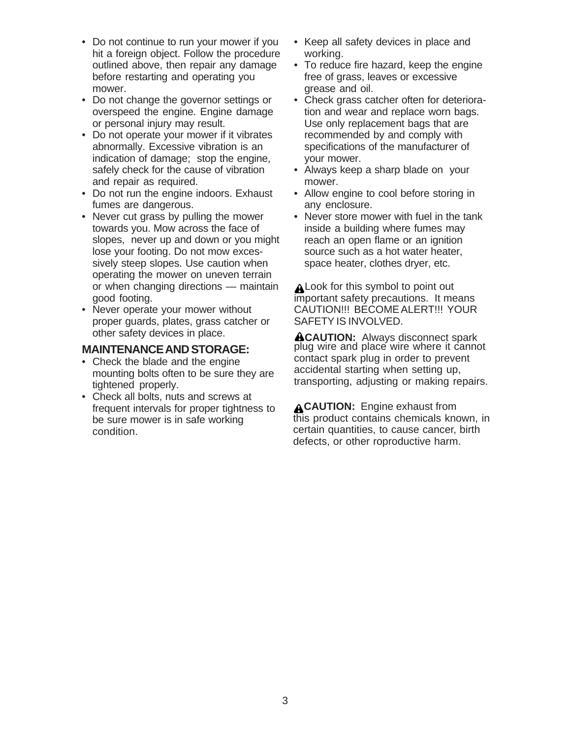- Do not continue to run your mower if you hit a foreign object. Follow the procedure outlined above, then repair any damage before restarting and operating you mower.
- Do not change the governor settings or overspeed the engine. Engine damage or personal injury may result.
- Do not operate your mower if it vibrates abnormally. Excessive vibration is an indication of damage; stop the engine, safely check for the cause of vibration and repair as required.
- Do not run the engine indoors. Exhaust fumes are dangerous.
- Never cut grass by pulling the mower towards you. Mow across the face of slopes, never up and down or you might lose your footing. Do not mow excessively steep slopes. Use caution when operating the mower on uneven terrain or when changing directions — maintain good footing.
- Never operate your mower without proper guards, plates, grass catcher or other safety devices in place.

### **MAINTENANCE AND STORAGE:**

- Check the blade and the engine mounting bolts often to be sure they are tightened properly.
- Check all bolts, nuts and screws at frequent intervals for proper tightness to be sure mower is in safe working condition.
- Keep all safety devices in place and working.
- To reduce fire hazard, keep the engine free of grass, leaves or excessive grease and oil.
- Check grass catcher often for deterioration and wear and replace worn bags. Use only replacement bags that are recommended by and comply with specifications of the manufacturer of your mower.
- Always keep a sharp blade on your mower.
- Allow engine to cool before storing in any enclosure.
- Never store mower with fuel in the tank inside a building where fumes may reach an open flame or an ignition source such as a hot water heater, space heater, clothes dryer, etc.

A Look for this symbol to point out important safety precautions. It means CAUTION!!! BECOME ALERT!!! YOUR SAFETY IS INVOLVED.

**ACAUTION:** Always disconnect spark plug wire and place wire where it cannot contact spark plug in order to prevent accidental starting when setting up, transporting, adjusting or making repairs.

**ACAUTION:** Engine exhaust from this product contains chemicals known, in certain quantities, to cause cancer, birth defects, or other roproductive harm.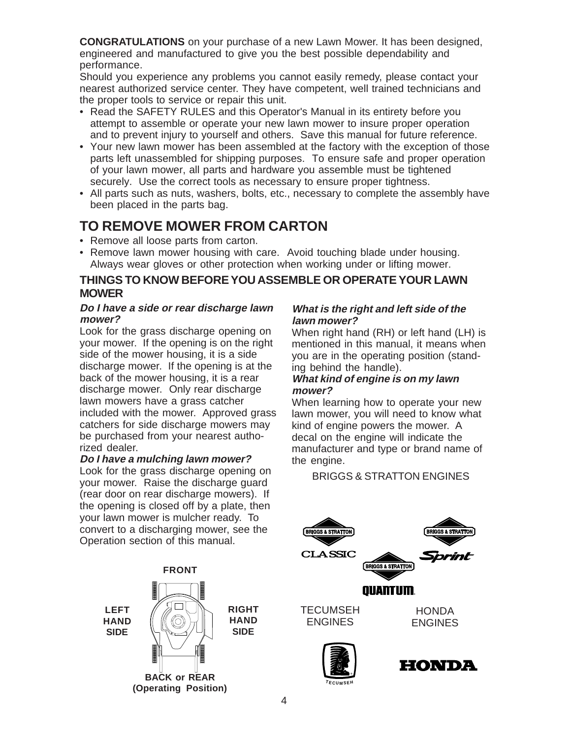**CONGRATULATIONS** on your purchase of a new Lawn Mower. It has been designed, engineered and manufactured to give you the best possible dependability and performance.

Should you experience any problems you cannot easily remedy, please contact your nearest authorized service center. They have competent, well trained technicians and the proper tools to service or repair this unit.

- Read the SAFETY RULES and this Operator's Manual in its entirety before you attempt to assemble or operate your new lawn mower to insure proper operation and to prevent injury to yourself and others. Save this manual for future reference.
- Your new lawn mower has been assembled at the factory with the exception of those parts left unassembled for shipping purposes. To ensure safe and proper operation of your lawn mower, all parts and hardware you assemble must be tightened securely. Use the correct tools as necessary to ensure proper tightness.
- All parts such as nuts, washers, bolts, etc., necessary to complete the assembly have been placed in the parts bag.

## **TO REMOVE MOWER FROM CARTON**

- Remove all loose parts from carton.
- Remove lawn mower housing with care. Avoid touching blade under housing. Always wear gloves or other protection when working under or lifting mower.

### **THINGS TO KNOW BEFORE YOU ASSEMBLE OR OPERATE YOUR LAWN MOWER**

#### **Do I have a side or rear discharge lawn mower?**

Look for the grass discharge opening on your mower. If the opening is on the right side of the mower housing, it is a side discharge mower. If the opening is at the back of the mower housing, it is a rear discharge mower. Only rear discharge lawn mowers have a grass catcher included with the mower. Approved grass catchers for side discharge mowers may be purchased from your nearest authorized dealer.

#### **Do I have a mulching lawn mower?**

Look for the grass discharge opening on your mower. Raise the discharge guard (rear door on rear discharge mowers). If the opening is closed off by a plate, then your lawn mower is mulcher ready. To convert to a discharging mower, see the Operation section of this manual.



#### **RIGHT HAND SIDE**

### **What is the right and left side of the lawn mower?**

When right hand (RH) or left hand (LH) is mentioned in this manual, it means when you are in the operating position (standing behind the handle).

#### **What kind of engine is on my lawn mower?**

When learning how to operate your new lawn mower, you will need to know what kind of engine powers the mower. A decal on the engine will indicate the manufacturer and type or brand name of the engine.

### BRIGGS & STRATTON ENGINES





**T E C <sup>U</sup> <sup>M</sup> S E H ®**

4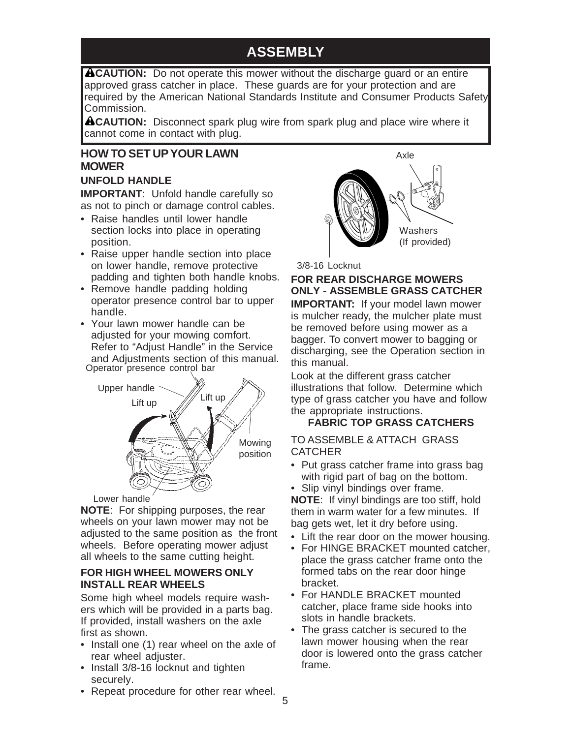## **ASSEMBLY**

**ACAUTION:** Do not operate this mower without the discharge guard or an entire approved grass catcher in place. These guards are for your protection and are required by the American National Standards Institute and Consumer Products Safety Commission.

**ACAUTION:** Disconnect spark plug wire from spark plug and place wire where it cannot come in contact with plug.

### **HOW TO SET UP YOUR LAWN MOWER**

### **UNFOLD HANDLE**

**IMPORTANT**: Unfold handle carefully so as not to pinch or damage control cables.

- Raise handles until lower handle section locks into place in operating position.
- Raise upper handle section into place on lower handle, remove protective padding and tighten both handle knobs.
- Remove handle padding holding operator presence control bar to upper handle.
- Your lawn mower handle can be adjusted for your mowing comfort. Refer to "Adjust Handle" in the Service and Adjustments section of this manual. Operator presence control bar



#### Lower handle

**NOTE**: For shipping purposes, the rear wheels on your lawn mower may not be adjusted to the same position as the front wheels. Before operating mower adjust all wheels to the same cutting height.

#### **FOR HIGH WHEEL MOWERS ONLY INSTALL REAR WHEELS**

Some high wheel models require washers which will be provided in a parts bag. If provided, install washers on the axle first as shown.

- Install one (1) rear wheel on the axle of rear wheel adjuster.
- Install 3/8-16 locknut and tighten securely.
- Repeat procedure for other rear wheel.



3/8-16 Locknut

### **FOR REAR DISCHARGE MOWERS ONLY - ASSEMBLE GRASS CATCHER**

**IMPORTANT:** If your model lawn mower is mulcher ready, the mulcher plate must be removed before using mower as a bagger. To convert mower to bagging or discharging, see the Operation section in this manual.

Look at the different grass catcher illustrations that follow. Determine which type of grass catcher you have and follow the appropriate instructions.

### **FABRIC TOP GRASS CATCHERS**

TO ASSEMBLE & ATTACH GRASS **CATCHER** 

• Put grass catcher frame into grass bag with rigid part of bag on the bottom.

• Slip vinyl bindings over frame. **NOTE**: If vinyl bindings are too stiff, hold them in warm water for a few minutes. If bag gets wet, let it dry before using.

- Lift the rear door on the mower housing.
- For HINGE BRACKET mounted catcher, place the grass catcher frame onto the formed tabs on the rear door hinge bracket.
- For HANDLE BRACKET mounted catcher, place frame side hooks into slots in handle brackets.
- The grass catcher is secured to the lawn mower housing when the rear door is lowered onto the grass catcher frame.
- 5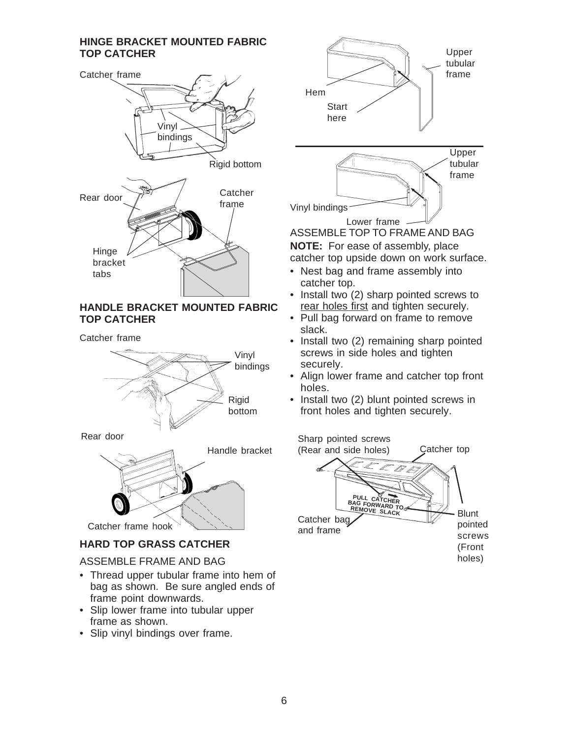#### **HINGE BRACKET MOUNTED FABRIC TOP CATCHER**



#### **HANDLE BRACKET MOUNTED FABRIC TOP CATCHER**

Catcher frame



Rear door



### **HARD TOP GRASS CATCHER**

#### ASSEMBLE FRAME AND BAG

- Thread upper tubular frame into hem of bag as shown. Be sure angled ends of frame point downwards.
- Slip lower frame into tubular upper frame as shown.
- Slip vinyl bindings over frame.



- Nest bag and frame assembly into catcher top.
- Install two (2) sharp pointed screws to rear holes first and tighten securely.
- Pull bag forward on frame to remove slack.
- Install two (2) remaining sharp pointed screws in side holes and tighten securely.
- Align lower frame and catcher top front holes.
- Install two (2) blunt pointed screws in front holes and tighten securely.

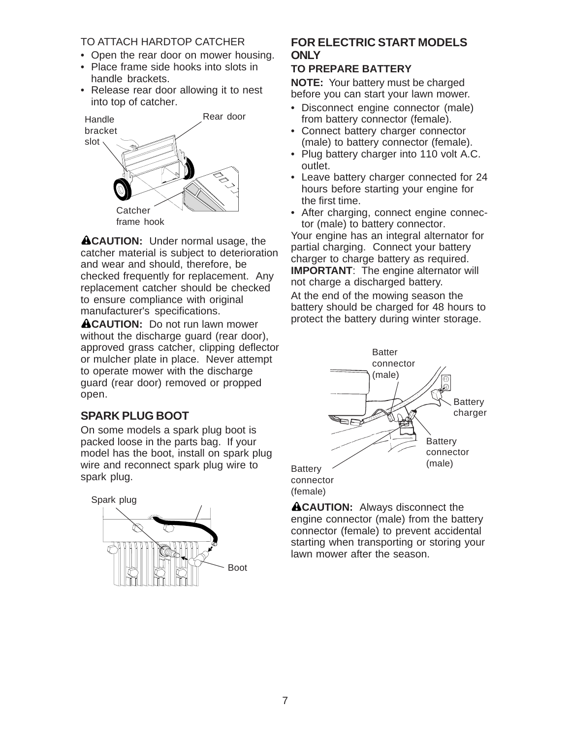#### TO ATTACH HARDTOP CATCHER

- Open the rear door on mower housing.
- Place frame side hooks into slots in handle brackets.
- Release rear door allowing it to nest into top of catcher.



**ACAUTION:** Under normal usage, the catcher material is subject to deterioration and wear and should, therefore, be checked frequently for replacement. Any replacement catcher should be checked to ensure compliance with original manufacturer's specifications.

**ACAUTION:** Do not run lawn mower without the discharge guard (rear door), approved grass catcher, clipping deflector or mulcher plate in place. Never attempt to operate mower with the discharge guard (rear door) removed or propped open.

### **SPARK PLUG BOOT**

On some models a spark plug boot is packed loose in the parts bag. If your model has the boot, install on spark plug wire and reconnect spark plug wire to spark plug.



### **FOR ELECTRIC START MODELS ONLY**

#### **TO PREPARE BATTERY**

**NOTE:** Your battery must be charged before you can start your lawn mower.

- Disconnect engine connector (male) from battery connector (female).
- Connect battery charger connector (male) to battery connector (female).
- Plug battery charger into 110 volt A.C. outlet.
- Leave battery charger connected for 24 hours before starting your engine for the first time.
- After charging, connect engine connector (male) to battery connector.

Your engine has an integral alternator for partial charging. Connect your battery charger to charge battery as required. **IMPORTANT:** The engine alternator will not charge a discharged battery. At the end of the mowing season the battery should be charged for 48 hours to protect the battery during winter storage.



**ACAUTION:** Always disconnect the engine connector (male) from the battery connector (female) to prevent accidental starting when transporting or storing your lawn mower after the season.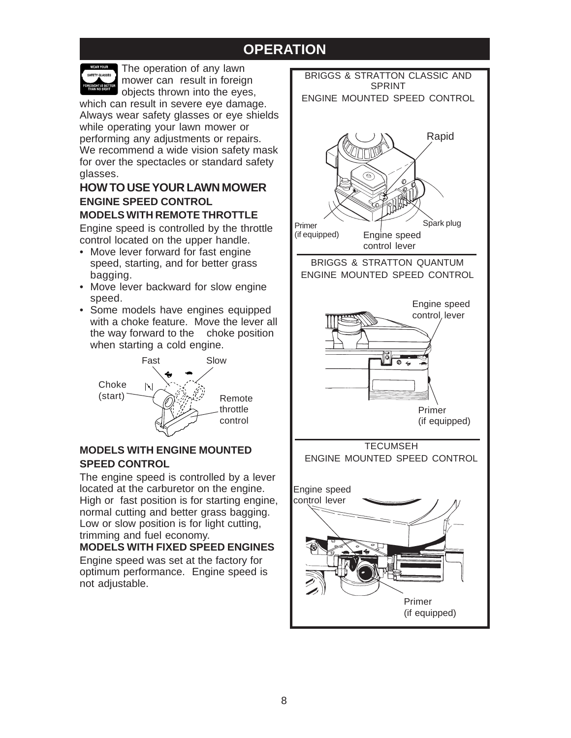## **OPERATION**



The operation of any lawn mower can result in foreign objects thrown into the eyes,

which can result in severe eye damage. Always wear safety glasses or eye shields while operating your lawn mower or performing any adjustments or repairs. We recommend a wide vision safety mask for over the spectacles or standard safety glasses.

### **HOW TO USE YOUR LAWN MOWER ENGINE SPEED CONTROL MODELS WITH REMOTE THROTTLE**

Engine speed is controlled by the throttle control located on the upper handle.

- Move lever forward for fast engine speed, starting, and for better grass bagging.
- Move lever backward for slow engine speed.
- Some models have engines equipped with a choke feature. Move the lever all the way forward to the choke position when starting a cold engine.



### **MODELS WITH ENGINE MOUNTED SPEED CONTROL**

The engine speed is controlled by a lever located at the carburetor on the engine. High or fast position is for starting engine, normal cutting and better grass bagging. Low or slow position is for light cutting, trimming and fuel economy.

### **MODELS WITH FIXED SPEED ENGINES**

Engine speed was set at the factory for optimum performance. Engine speed is not adjustable.

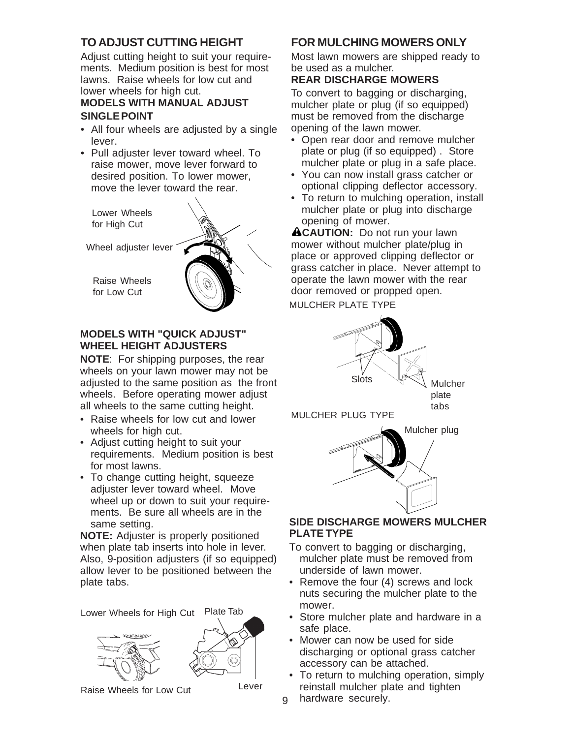### **TO ADJUST CUTTING HEIGHT**

Adjust cutting height to suit your requirements. Medium position is best for most lawns. Raise wheels for low cut and lower wheels for high cut. **MODELS WITH MANUAL ADJUST**

#### **SINGLE POINT**

- All four wheels are adjusted by a single lever.
- Pull adjuster lever toward wheel. To raise mower, move lever forward to desired position. To lower mower, move the lever toward the rear.

Lower Wheels for High Cut

Wheel adjuster lever

Raise Wheels for Low Cut



### **MODELS WITH "QUICK ADJUST" WHEEL HEIGHT ADJUSTERS**

**NOTE**: For shipping purposes, the rear wheels on your lawn mower may not be adjusted to the same position as the front wheels. Before operating mower adjust all wheels to the same cutting height.

- Raise wheels for low cut and lower wheels for high cut.
- Adjust cutting height to suit your requirements. Medium position is best for most lawns.
- To change cutting height, squeeze adjuster lever toward wheel. Move wheel up or down to suit your requirements. Be sure all wheels are in the same setting.

**NOTE:** Adjuster is properly positioned when plate tab inserts into hole in lever. Also, 9-position adjusters (if so equipped) allow lever to be positioned between the plate tabs.

Lower Wheels for High Cut Plate Tab





Raise Wheels for Low Cut Lever

### **FOR MULCHING MOWERS ONLY**

Most lawn mowers are shipped ready to be used as a mulcher.

#### **REAR DISCHARGE MOWERS**

To convert to bagging or discharging, mulcher plate or plug (if so equipped) must be removed from the discharge opening of the lawn mower.

- Open rear door and remove mulcher plate or plug (if so equipped) . Store mulcher plate or plug in a safe place.
- You can now install grass catcher or optional clipping deflector accessory.
- To return to mulching operation, install mulcher plate or plug into discharge opening of mower.

**ACAUTION:** Do not run your lawn mower without mulcher plate/plug in place or approved clipping deflector or grass catcher in place. Never attempt to operate the lawn mower with the rear door removed or propped open. MULCHER PLATE TYPE



plate tabs

MULCHER PLUG TYPE



### **SIDE DISCHARGE MOWERS MULCHER PLATE TYPE**

- To convert to bagging or discharging, mulcher plate must be removed from underside of lawn mower.
- Remove the four (4) screws and lock nuts securing the mulcher plate to the mower.
- Store mulcher plate and hardware in a safe place.
- Mower can now be used for side discharging or optional grass catcher accessory can be attached.
- To return to mulching operation, simply reinstall mulcher plate and tighten
- hardware securely.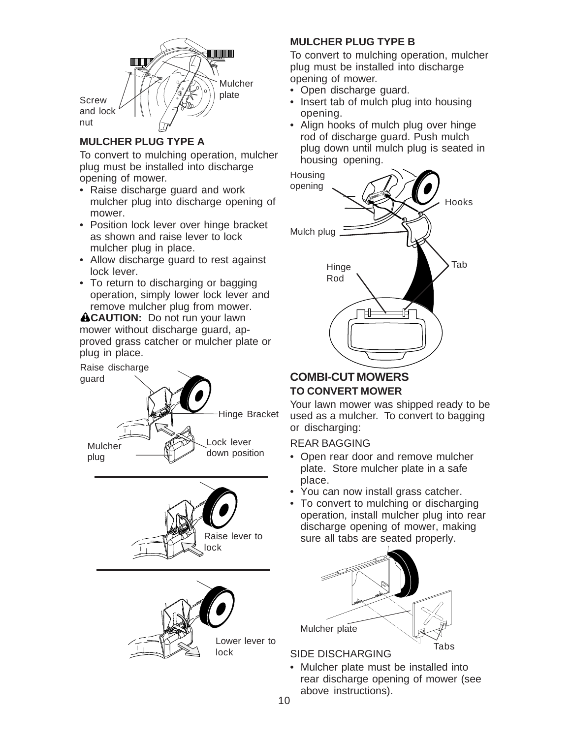

### **MULCHER PLUG TYPE A**

To convert to mulching operation, mulcher plug must be installed into discharge opening of mower.

- Raise discharge guard and work mulcher plug into discharge opening of mower.
- Position lock lever over hinge bracket as shown and raise lever to lock mulcher plug in place.
- Allow discharge guard to rest against lock lever.
- To return to discharging or bagging operation, simply lower lock lever and remove mulcher plug from mower.

**ACAUTION:** Do not run your lawn mower without discharge guard, approved grass catcher or mulcher plate or plug in place.







### **MULCHER PLUG TYPE B**

To convert to mulching operation, mulcher plug must be installed into discharge opening of mower.

- Open discharge guard.
- Insert tab of mulch plug into housing opening.
- Align hooks of mulch plug over hinge rod of discharge guard. Push mulch plug down until mulch plug is seated in housing opening.



### **COMBI-CUT MOWERS TO CONVERT MOWER**

Your lawn mower was shipped ready to be used as a mulcher. To convert to bagging or discharging:

### REAR BAGGING

- Open rear door and remove mulcher plate. Store mulcher plate in a safe place.
- You can now install grass catcher.
- To convert to mulching or discharging operation, install mulcher plug into rear discharge opening of mower, making sure all tabs are seated properly.



### SIDE DISCHARGING

• Mulcher plate must be installed into rear discharge opening of mower (see above instructions).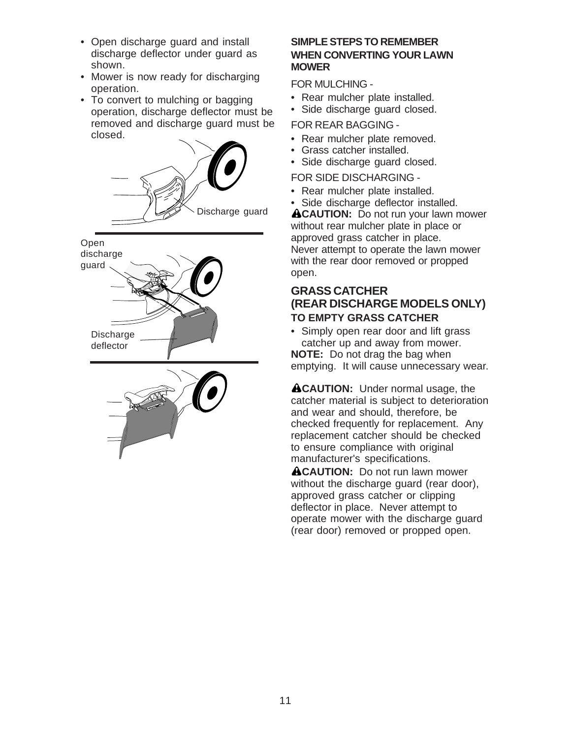- Open discharge guard and install discharge deflector under guard as shown.
- Mower is now ready for discharging operation.
- To convert to mulching or bagging operation, discharge deflector must be removed and discharge guard must be closed.



#### **SIMPLE STEPS TO REMEMBER WHEN CONVERTING YOUR LAWN MOWER**

FOR MULCHING -

- Rear mulcher plate installed.
- Side discharge guard closed.

FOR REAR BAGGING -

- Rear mulcher plate removed.
- Grass catcher installed.
- Side discharge guard closed.

FOR SIDE DISCHARGING -

- Rear mulcher plate installed.
- Side discharge deflector installed.

**ACAUTION:** Do not run your lawn mower without rear mulcher plate in place or approved grass catcher in place. Never attempt to operate the lawn mower with the rear door removed or propped open.

### **GRASS CATCHER (REAR DISCHARGE MODELS ONLY) TO EMPTY GRASS CATCHER**

• Simply open rear door and lift grass catcher up and away from mower.

**NOTE:** Do not drag the bag when emptying. It will cause unnecessary wear.

**ACAUTION:** Under normal usage, the catcher material is subject to deterioration and wear and should, therefore, be checked frequently for replacement. Any replacement catcher should be checked to ensure compliance with original manufacturer's specifications.

**ACAUTION:** Do not run lawn mower without the discharge guard (rear door), approved grass catcher or clipping deflector in place. Never attempt to operate mower with the discharge guard (rear door) removed or propped open.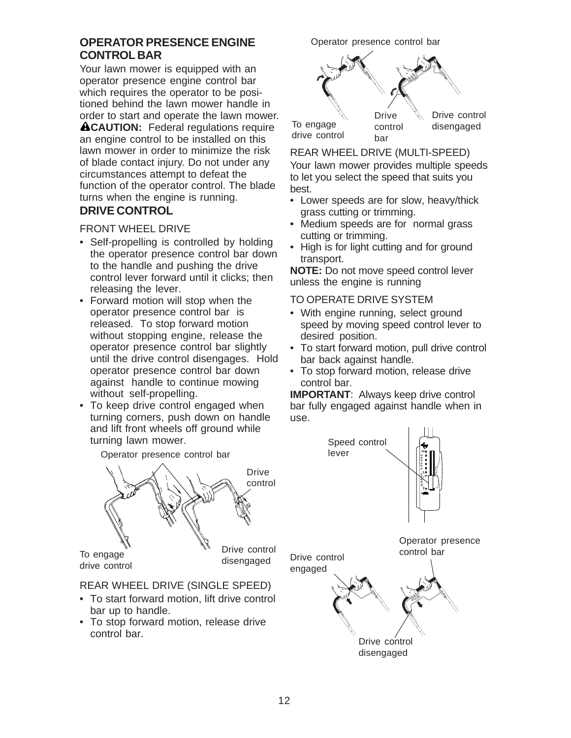### **OPERATOR PRESENCE ENGINE CONTROL BAR**

Your lawn mower is equipped with an operator presence engine control bar which requires the operator to be positioned behind the lawn mower handle in order to start and operate the lawn mower. **ACAUTION:** Federal regulations require an engine control to be installed on this lawn mower in order to minimize the risk of blade contact injury. Do not under any circumstances attempt to defeat the function of the operator control. The blade turns when the engine is running. **DRIVE CONTROL**

#### FRONT WHEEL DRIVE

- Self-propelling is controlled by holding the operator presence control bar down to the handle and pushing the drive control lever forward until it clicks; then releasing the lever.
- Forward motion will stop when the operator presence control bar is released. To stop forward motion without stopping engine, release the operator presence control bar slightly until the drive control disengages. Hold operator presence control bar down against handle to continue mowing without self-propelling.
- To keep drive control engaged when turning corners, push down on handle and lift front wheels off ground while turning lawn mower.

Operator presence control bar



#### REAR WHEEL DRIVE (SINGLE SPEED)

- To start forward motion, lift drive control bar up to handle.
- To stop forward motion, release drive control bar.

Operator presence control bar



#### REAR WHEEL DRIVE (MULTI-SPEED)

Your lawn mower provides multiple speeds to let you select the speed that suits you best.

- Lower speeds are for slow, heavy/thick grass cutting or trimming.
- Medium speeds are for normal grass cutting or trimming.
- High is for light cutting and for ground transport.

**NOTE:** Do not move speed control lever unless the engine is running

#### TO OPERATE DRIVE SYSTEM

- With engine running, select ground speed by moving speed control lever to desired position.
- To start forward motion, pull drive control bar back against handle.
- To stop forward motion, release drive control bar.

**IMPORTANT**: Always keep drive control bar fully engaged against handle when in use.

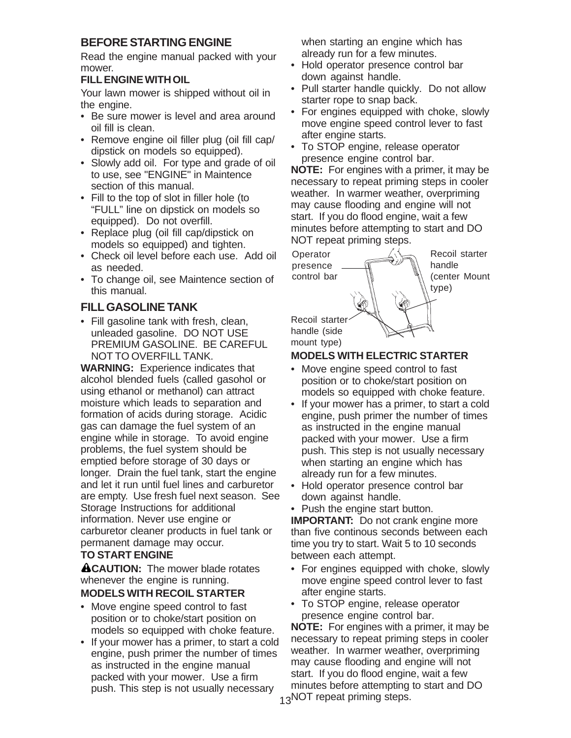### **BEFORE STARTING ENGINE**

Read the engine manual packed with your mower.

#### **FILL ENGINE WITH OIL**

Your lawn mower is shipped without oil in the engine.

- Be sure mower is level and area around oil fill is clean.
- Remove engine oil filler plug (oil fill cap/ dipstick on models so equipped).
- Slowly add oil. For type and grade of oil to use, see "ENGINE" in Maintence section of this manual.
- Fill to the top of slot in filler hole (to "FULL" line on dipstick on models so equipped). Do not overfill.
- Replace plug (oil fill cap/dipstick on models so equipped) and tighten.
- Check oil level before each use. Add oil as needed.
- To change oil, see Maintence section of this manual.

### **FILL GASOLINE TANK**

• Fill gasoline tank with fresh, clean, unleaded gasoline. DO NOT USE PREMIUM GASOLINE. BE CAREFUL NOT TO OVERFILL TANK.

**WARNING:** Experience indicates that alcohol blended fuels (called gasohol or using ethanol or methanol) can attract moisture which leads to separation and formation of acids during storage. Acidic gas can damage the fuel system of an engine while in storage. To avoid engine problems, the fuel system should be emptied before storage of 30 days or longer. Drain the fuel tank, start the engine and let it run until fuel lines and carburetor are empty. Use fresh fuel next season. See Storage Instructions for additional information. Never use engine or carburetor cleaner products in fuel tank or permanent damage may occur.

### **TO START ENGINE**

**ACAUTION:** The mower blade rotates whenever the engine is running.

### **MODELS WITH RECOIL STARTER**

- Move engine speed control to fast position or to choke/start position on models so equipped with choke feature.
- If your mower has a primer, to start a cold engine, push primer the number of times as instructed in the engine manual packed with your mower. Use a firm push. This step is not usually necessary

when starting an engine which has already run for a few minutes.

- Hold operator presence control bar down against handle.
- Pull starter handle quickly. Do not allow starter rope to snap back.
- For engines equipped with choke, slowly move engine speed control lever to fast after engine starts.
- To STOP engine, release operator presence engine control bar.

**NOTE:** For engines with a primer, it may be necessary to repeat priming steps in cooler weather. In warmer weather, overpriming may cause flooding and engine will not start. If you do flood engine, wait a few minutes before attempting to start and DO NOT repeat priming steps.



mount type)

### **MODELS WITH ELECTRIC STARTER**

- Move engine speed control to fast position or to choke/start position on models so equipped with choke feature.
- If your mower has a primer, to start a cold engine, push primer the number of times as instructed in the engine manual packed with your mower. Use a firm push. This step is not usually necessary when starting an engine which has already run for a few minutes.
- Hold operator presence control bar down against handle.
- Push the engine start button.

**IMPORTANT:** Do not crank engine more than five continous seconds between each time you try to start. Wait 5 to 10 seconds between each attempt.

- For engines equipped with choke, slowly move engine speed control lever to fast after engine starts.
- To STOP engine, release operator presence engine control bar.

13NOT repeat priming steps. **NOTE:** For engines with a primer, it may be necessary to repeat priming steps in cooler weather. In warmer weather, overpriming may cause flooding and engine will not start. If you do flood engine, wait a few minutes before attempting to start and DO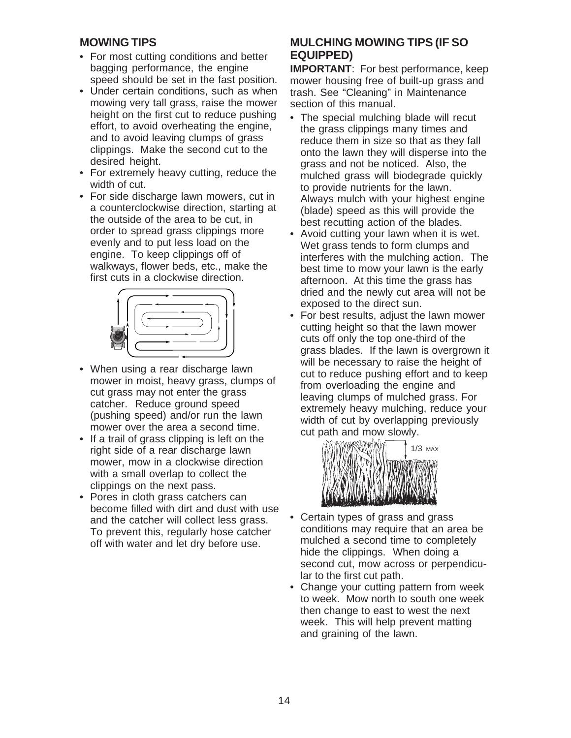### **MOWING TIPS**

- For most cutting conditions and better bagging performance, the engine speed should be set in the fast position.
- Under certain conditions, such as when mowing very tall grass, raise the mower height on the first cut to reduce pushing effort, to avoid overheating the engine, and to avoid leaving clumps of grass clippings. Make the second cut to the desired height.
- For extremely heavy cutting, reduce the width of cut.
- For side discharge lawn mowers, cut in a counterclockwise direction, starting at the outside of the area to be cut, in order to spread grass clippings more evenly and to put less load on the engine. To keep clippings off of walkways, flower beds, etc., make the first cuts in a clockwise direction.



- When using a rear discharge lawn mower in moist, heavy grass, clumps of cut grass may not enter the grass catcher. Reduce ground speed (pushing speed) and/or run the lawn mower over the area a second time.
- If a trail of grass clipping is left on the right side of a rear discharge lawn mower, mow in a clockwise direction with a small overlap to collect the clippings on the next pass.
- Pores in cloth grass catchers can become filled with dirt and dust with use and the catcher will collect less grass. To prevent this, regularly hose catcher off with water and let dry before use.

### **MULCHING MOWING TIPS (IF SO EQUIPPED)**

**IMPORTANT**: For best performance, keep mower housing free of built-up grass and trash. See "Cleaning" in Maintenance section of this manual.

- The special mulching blade will recut the grass clippings many times and reduce them in size so that as they fall onto the lawn they will disperse into the grass and not be noticed. Also, the mulched grass will biodegrade quickly to provide nutrients for the lawn. Always mulch with your highest engine (blade) speed as this will provide the best recutting action of the blades.
- Avoid cutting your lawn when it is wet. Wet grass tends to form clumps and interferes with the mulching action. The best time to mow your lawn is the early afternoon. At this time the grass has dried and the newly cut area will not be exposed to the direct sun.
- For best results, adjust the lawn mower cutting height so that the lawn mower cuts off only the top one-third of the grass blades. If the lawn is overgrown it will be necessary to raise the height of cut to reduce pushing effort and to keep from overloading the engine and leaving clumps of mulched grass. For extremely heavy mulching, reduce your width of cut by overlapping previously cut path and mow slowly.



- Certain types of grass and grass conditions may require that an area be mulched a second time to completely hide the clippings. When doing a second cut, mow across or perpendicular to the first cut path.
- Change your cutting pattern from week to week. Mow north to south one week then change to east to west the next week. This will help prevent matting and graining of the lawn.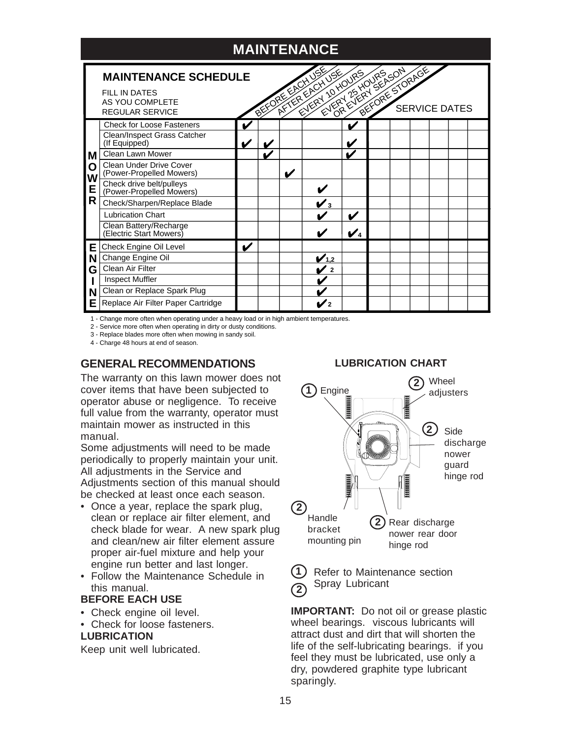

1 - Change more often when operating under a heavy load or in high ambient temperatures.

2 - Service more often when operating in dirty or dusty conditions.

3 - Replace blades more often when mowing in sandy soil.

4 - Charge 48 hours at end of season.

### **GENERAL RECOMMENDATIONS**

The warranty on this lawn mower does not cover items that have been subjected to operator abuse or negligence. To receive full value from the warranty, operator must maintain mower as instructed in this manual.

Some adjustments will need to be made periodically to properly maintain your unit. All adjustments in the Service and Adjustments section of this manual should be checked at least once each season.

- Once a year, replace the spark plug, clean or replace air filter element, and check blade for wear. A new spark plug and clean/new air filter element assure proper air-fuel mixture and help your engine run better and last longer.
- Follow the Maintenance Schedule in this manual.

#### **BEFORE EACH USE**

- Check engine oil level.
- Check for loose fasteners. **LUBRICATION**

Keep unit well lubricated.

#### **LUBRICATION CHART**



**1 2**

Refer to Maintenance section Spray Lubricant

**IMPORTANT:** Do not oil or grease plastic wheel bearings. viscous lubricants will attract dust and dirt that will shorten the life of the self-lubricating bearings. if you feel they must be lubricated, use only a dry, powdered graphite type lubricant sparingly.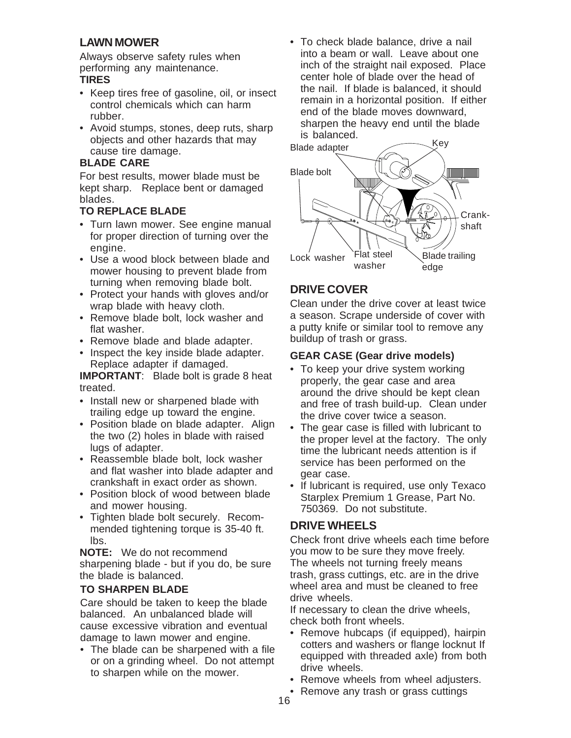### **LAWN MOWER**

Always observe safety rules when performing any maintenance. **TIRES**

- Keep tires free of gasoline, oil, or insect control chemicals which can harm rubber.
- Avoid stumps, stones, deep ruts, sharp objects and other hazards that may cause tire damage.

#### **BLADE CARE**

For best results, mower blade must be kept sharp. Replace bent or damaged blades.

### **TO REPLACE BLADE**

- Turn lawn mower. See engine manual for proper direction of turning over the engine.
- Use a wood block between blade and mower housing to prevent blade from turning when removing blade bolt.
- Protect your hands with gloves and/or wrap blade with heavy cloth.
- Remove blade bolt, lock washer and flat washer.
- Remove blade and blade adapter.
- Inspect the key inside blade adapter. Replace adapter if damaged.

**IMPORTANT**: Blade bolt is grade 8 heat treated.

- Install new or sharpened blade with trailing edge up toward the engine.
- Position blade on blade adapter. Align the two (2) holes in blade with raised lugs of adapter.
- Reassemble blade bolt, lock washer and flat washer into blade adapter and crankshaft in exact order as shown.
- Position block of wood between blade and mower housing.
- Tighten blade bolt securely. Recommended tightening torque is 35-40 ft. lbs.

**NOTE:** We do not recommend sharpening blade - but if you do, be sure the blade is balanced.

### **TO SHARPEN BLADE**

Care should be taken to keep the blade balanced. An unbalanced blade will cause excessive vibration and eventual damage to lawn mower and engine.

• The blade can be sharpened with a file or on a grinding wheel. Do not attempt to sharpen while on the mower.

• To check blade balance, drive a nail into a beam or wall. Leave about one inch of the straight nail exposed. Place center hole of blade over the head of the nail. If blade is balanced, it should remain in a horizontal position. If either end of the blade moves downward, sharpen the heavy end until the blade is balanced.



### **DRIVE COVER**

Clean under the drive cover at least twice a season. Scrape underside of cover with a putty knife or similar tool to remove any buildup of trash or grass.

### **GEAR CASE (Gear drive models)**

- To keep your drive system working properly, the gear case and area around the drive should be kept clean and free of trash build-up. Clean under the drive cover twice a season.
- The gear case is filled with lubricant to the proper level at the factory. The only time the lubricant needs attention is if service has been performed on the gear case.
- If lubricant is required, use only Texaco Starplex Premium 1 Grease, Part No. 750369. Do not substitute.

### **DRIVE WHEELS**

Check front drive wheels each time before you mow to be sure they move freely. The wheels not turning freely means trash, grass cuttings, etc. are in the drive wheel area and must be cleaned to free drive wheels.

If necessary to clean the drive wheels, check both front wheels.

- Remove hubcaps (if equipped), hairpin cotters and washers or flange locknut If equipped with threaded axle) from both drive wheels.
- Remove wheels from wheel adjusters.
- Remove any trash or grass cuttings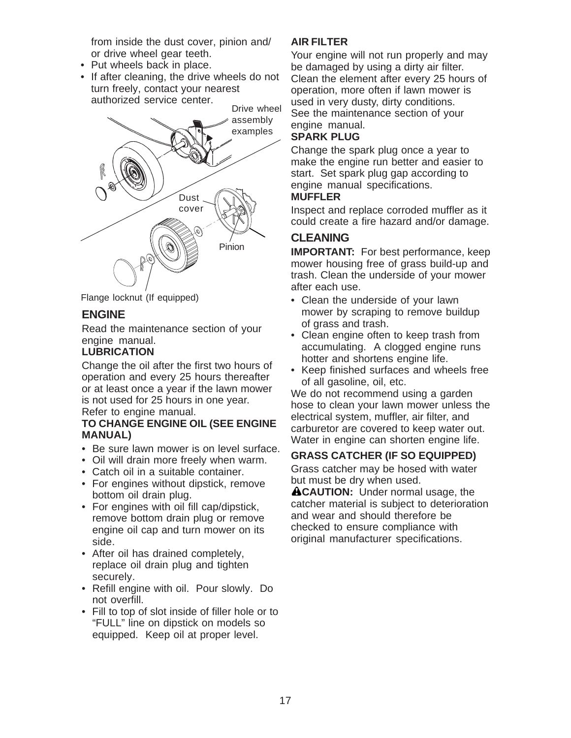from inside the dust cover, pinion and/ or drive wheel gear teeth.

- Put wheels back in place.
- If after cleaning, the drive wheels do not turn freely, contact your nearest authorized service center.





### **ENGINE**

Read the maintenance section of your engine manual.

### **LUBRICATION**

Change the oil after the first two hours of operation and every 25 hours thereafter or at least once a year if the lawn mower is not used for 25 hours in one year. Refer to engine manual.

#### **TO CHANGE ENGINE OIL (SEE ENGINE MANUAL)**

- Be sure lawn mower is on level surface.
- Oil will drain more freely when warm.
- Catch oil in a suitable container.
- For engines without dipstick, remove bottom oil drain plug.
- For engines with oil fill cap/dipstick, remove bottom drain plug or remove engine oil cap and turn mower on its side.
- After oil has drained completely, replace oil drain plug and tighten securely.
- Refill engine with oil. Pour slowly. Do not overfill.
- Fill to top of slot inside of filler hole or to "FULL" line on dipstick on models so equipped. Keep oil at proper level.

#### **AIR FILTER**

Your engine will not run properly and may be damaged by using a dirty air filter. Clean the element after every 25 hours of operation, more often if lawn mower is used in very dusty, dirty conditions. See the maintenance section of your engine manual.

### **SPARK PLUG**

Change the spark plug once a year to make the engine run better and easier to start. Set spark plug gap according to engine manual specifications.

#### **MUFFLER**

Inspect and replace corroded muffler as it could create a fire hazard and/or damage.

### **CLEANING**

**IMPORTANT:** For best performance, keep mower housing free of grass build-up and trash. Clean the underside of your mower after each use.

- Clean the underside of your lawn mower by scraping to remove buildup of grass and trash.
- Clean engine often to keep trash from accumulating. A clogged engine runs hotter and shortens engine life.
- Keep finished surfaces and wheels free of all gasoline, oil, etc.

We do not recommend using a garden hose to clean your lawn mower unless the electrical system, muffler, air filter, and carburetor are covered to keep water out. Water in engine can shorten engine life.

#### **GRASS CATCHER (IF SO EQUIPPED)**

Grass catcher may be hosed with water but must be dry when used.

**ACAUTION:** Under normal usage, the catcher material is subject to deterioration and wear and should therefore be checked to ensure compliance with original manufacturer specifications.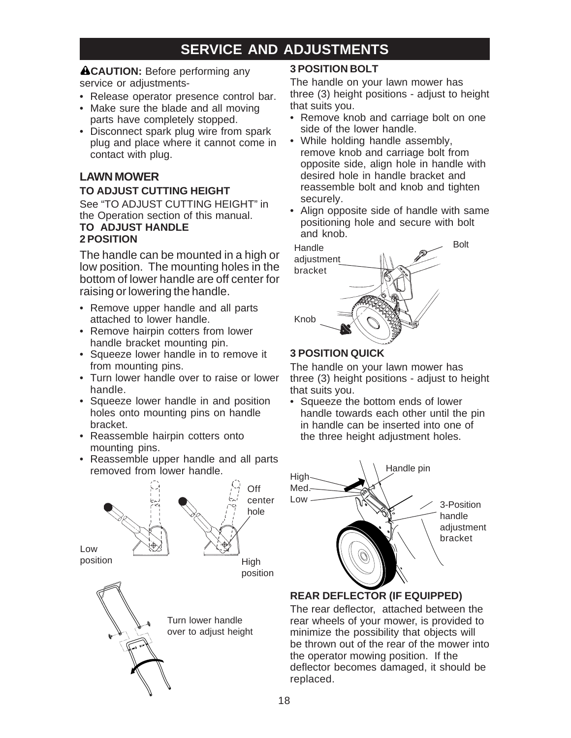## **SERVICE AND ADJUSTMENTS**

### **ACAUTION:** Before performing any

service or adiustments-

- Release operator presence control bar.
- Make sure the blade and all moving parts have completely stopped.
- Disconnect spark plug wire from spark plug and place where it cannot come in contact with plug.

### **LAWN MOWER**

#### **TO ADJUST CUTTING HEIGHT**

See "TO ADJUST CUTTING HEIGHT" in the Operation section of this manual. **TO ADJUST HANDLE 2 POSITION**

The handle can be mounted in a high or low position. The mounting holes in the bottom of lower handle are off center for raising or lowering the handle.

- Remove upper handle and all parts attached to lower handle.
- Remove hairpin cotters from lower handle bracket mounting pin.
- Squeeze lower handle in to remove it from mounting pins.
- Turn lower handle over to raise or lower handle.
- Squeeze lower handle in and position holes onto mounting pins on handle bracket.
- Reassemble hairpin cotters onto mounting pins.
- Reassemble upper handle and all parts removed from lower handle.



### **3 POSITION BOLT**

The handle on your lawn mower has three (3) height positions - adjust to height that suits you.

- Remove knob and carriage bolt on one side of the lower handle.
- While holding handle assembly, remove knob and carriage bolt from opposite side, align hole in handle with desired hole in handle bracket and reassemble bolt and knob and tighten securely.
- Align opposite side of handle with same positioning hole and secure with bolt and knob.



### **3 POSITION QUICK**

The handle on your lawn mower has three (3) height positions - adjust to height that suits you.

• Squeeze the bottom ends of lower handle towards each other until the pin in handle can be inserted into one of the three height adjustment holes.



### **REAR DEFLECTOR (IF EQUIPPED)**

The rear deflector, attached between the rear wheels of your mower, is provided to minimize the possibility that objects will be thrown out of the rear of the mower into the operator mowing position. If the deflector becomes damaged, it should be replaced.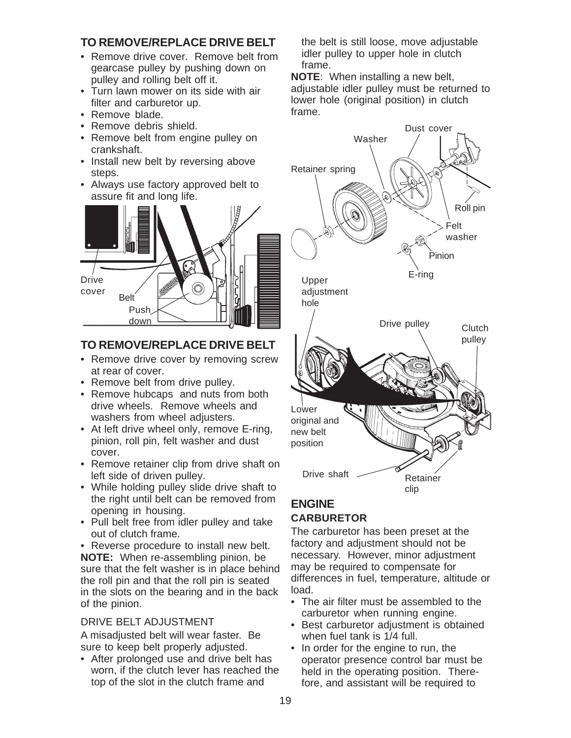### **TO REMOVE/REPLACE DRIVE BELT**

- Remove drive cover. Remove belt from gearcase pulley by pushing down on pulley and rolling belt off it.
- Turn lawn mower on its side with air filter and carburetor up.
- Remove blade.
- Remove debris shield.
- Remove belt from engine pulley on crankshaft.
- Install new belt by reversing above steps.
- Always use factory approved belt to assure fit and long life.



### **TO REMOVE/REPLACE DRIVE BELT**

- Remove drive cover by removing screw at rear of cover.
- Remove belt from drive pulley.
- Remove hubcaps and nuts from both drive wheels. Remove wheels and washers from wheel adjusters.
- At left drive wheel only, remove E-ring, pinion, roll pin, felt washer and dust cover.
- Remove retainer clip from drive shaft on left side of driven pulley.
- While holding pulley slide drive shaft to the right until belt can be removed from opening in housing.
- Pull belt free from idler pulley and take out of clutch frame.
- Reverse procedure to install new belt. **NOTE:** When re-assembling pinion, be sure that the felt washer is in place behind the roll pin and that the roll pin is seated in the slots on the bearing and in the back of the pinion.

### DRIVE BELT ADJUSTMENT

A misadjusted belt will wear faster. Be sure to keep belt properly adjusted.

• After prolonged use and drive belt has worn, if the clutch lever has reached the top of the slot in the clutch frame and

the belt is still loose, move adjustable idler pulley to upper hole in clutch frame.

**NOTE**: When installing a new belt, adjustable idler pulley must be returned to lower hole (original position) in clutch frame.



### **ENGINE CARBURETOR**

The carburetor has been preset at the factory and adjustment should not be necessary. However, minor adjustment may be required to compensate for differences in fuel, temperature, altitude or load.

- The air filter must be assembled to the carburetor when running engine.
- Best carburetor adjustment is obtained when fuel tank is 1/4 full.
- In order for the engine to run, the operator presence control bar must be held in the operating position. Therefore, and assistant will be required to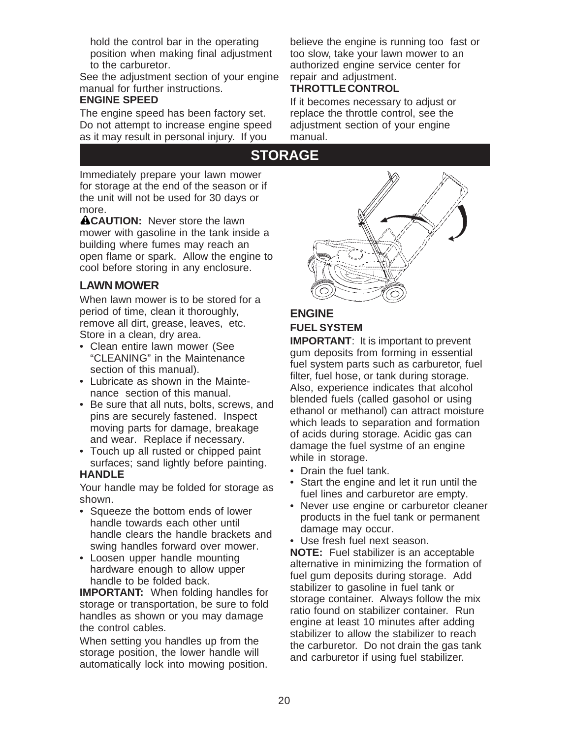hold the control bar in the operating position when making final adjustment to the carburetor.

See the adjustment section of your engine manual for further instructions.

#### **ENGINE SPEED**

The engine speed has been factory set. Do not attempt to increase engine speed as it may result in personal injury. If you

believe the engine is running too fast or too slow, take your lawn mower to an authorized engine service center for repair and adjustment.

### **THROTTLE CONTROL**

If it becomes necessary to adjust or replace the throttle control, see the adjustment section of your engine manual.

## **STORAGE**

Immediately prepare your lawn mower for storage at the end of the season or if the unit will not be used for 30 days or more.

**ACAUTION:** Never store the lawn mower with gasoline in the tank inside a building where fumes may reach an open flame or spark. Allow the engine to cool before storing in any enclosure.

### **LAWN MOWER**

When lawn mower is to be stored for a period of time, clean it thoroughly, remove all dirt, grease, leaves, etc. Store in a clean, dry area.

- Clean entire lawn mower (See "CLEANING" in the Maintenance section of this manual).
- Lubricate as shown in the Maintenance section of this manual.
- Be sure that all nuts, bolts, screws, and pins are securely fastened. Inspect moving parts for damage, breakage and wear. Replace if necessary.
- Touch up all rusted or chipped paint surfaces; sand lightly before painting.

### **HANDLE**

Your handle may be folded for storage as shown.

- Squeeze the bottom ends of lower handle towards each other until handle clears the handle brackets and swing handles forward over mower.
- Loosen upper handle mounting hardware enough to allow upper handle to be folded back.

**IMPORTANT:** When folding handles for storage or transportation, be sure to fold handles as shown or you may damage the control cables.

When setting you handles up from the storage position, the lower handle will automatically lock into mowing position.



### **ENGINE FUEL SYSTEM**

**IMPORTANT:** It is important to prevent gum deposits from forming in essential fuel system parts such as carburetor, fuel filter, fuel hose, or tank during storage. Also, experience indicates that alcohol blended fuels (called gasohol or using ethanol or methanol) can attract moisture which leads to separation and formation of acids during storage. Acidic gas can damage the fuel systme of an engine while in storage.

- Drain the fuel tank.
- Start the engine and let it run until the fuel lines and carburetor are empty.
- Never use engine or carburetor cleaner products in the fuel tank or permanent damage may occur.
- Use fresh fuel next season.

**NOTE:** Fuel stabilizer is an acceptable alternative in minimizing the formation of fuel gum deposits during storage. Add stabilizer to gasoline in fuel tank or storage container. Always follow the mix ratio found on stabilizer container. Run engine at least 10 minutes after adding stabilizer to allow the stabilizer to reach the carburetor. Do not drain the gas tank and carburetor if using fuel stabilizer.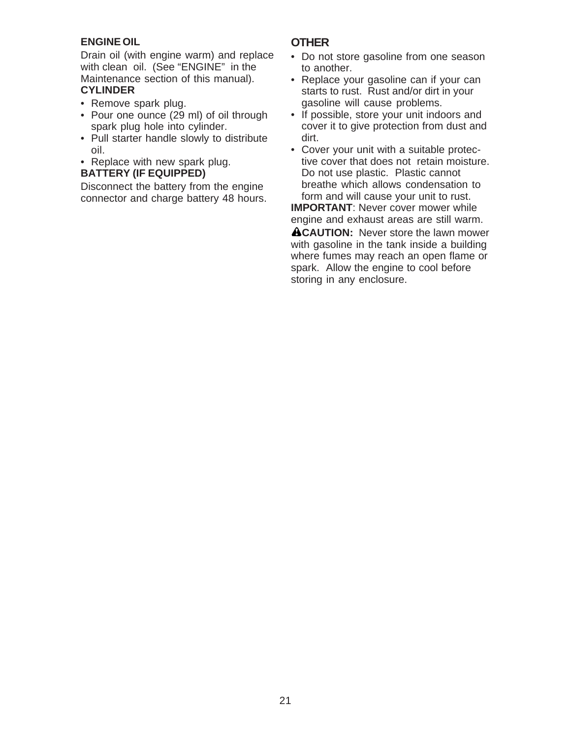### **ENGINE OIL**

Drain oil (with engine warm) and replace with clean oil. (See "ENGINE" in the Maintenance section of this manual). **CYLINDER**

- Remove spark plug.
- Pour one ounce (29 ml) of oil through spark plug hole into cylinder.
- Pull starter handle slowly to distribute oil.
- Replace with new spark plug. **BATTERY (IF EQUIPPED)**

Disconnect the battery from the engine connector and charge battery 48 hours.

### **OTHER**

- Do not store gasoline from one season to another.
- Replace your gasoline can if your can starts to rust. Rust and/or dirt in your gasoline will cause problems.
- If possible, store your unit indoors and cover it to give protection from dust and dirt.
- Cover your unit with a suitable protective cover that does not retain moisture. Do not use plastic. Plastic cannot breathe which allows condensation to form and will cause your unit to rust. **IMPORTANT:** Never cover mower while

engine and exhaust areas are still warm.

**ACAUTION:** Never store the lawn mower with gasoline in the tank inside a building where fumes may reach an open flame or spark. Allow the engine to cool before storing in any enclosure.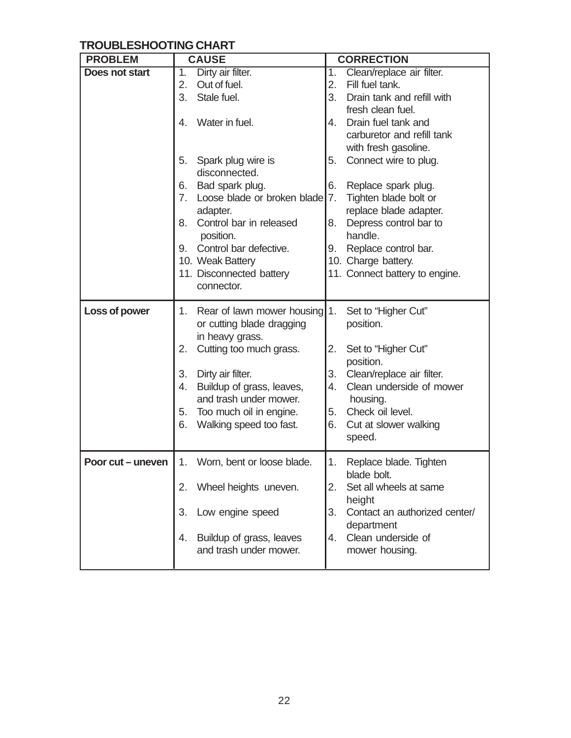### **TROUBLESHOOTING CHART**

| <b>PROBLEM</b>    | <b>CAUSE</b>                                                                  | <b>CORRECTION</b>                                 |
|-------------------|-------------------------------------------------------------------------------|---------------------------------------------------|
| Does not start    | Dirty air filter.<br>$\overline{1}$ .                                         | Clean/replace air filter.<br>$\overline{1}$ .     |
|                   | Out of fuel.<br>2.                                                            | Fill fuel tank.<br>2.                             |
|                   | Stale fuel.<br>3.                                                             | 3.<br>Drain tank and refill with                  |
|                   |                                                                               | fresh clean fuel.                                 |
|                   | Water in fuel.<br>4.                                                          | Drain fuel tank and<br>4.                         |
|                   |                                                                               | carburetor and refill tank                        |
|                   |                                                                               | with fresh gasoline.                              |
|                   | Spark plug wire is<br>5.<br>disconnected.                                     | 5.<br>Connect wire to plug.                       |
|                   | Bad spark plug.<br>6.                                                         | Replace spark plug.<br>6.                         |
|                   | Loose blade or broken blade<br>7.                                             | 7.<br>Tighten blade bolt or                       |
|                   | adapter.                                                                      | replace blade adapter.                            |
|                   | Control bar in released<br>8.                                                 | Depress control bar to<br>8.                      |
|                   | position.                                                                     | handle.                                           |
|                   | Control bar defective.<br>9.                                                  | Replace control bar.<br>9.                        |
|                   | 10. Weak Battery                                                              | 10. Charge battery.                               |
|                   | 11. Disconnected battery                                                      | 11. Connect battery to engine.                    |
|                   | connector.                                                                    |                                                   |
| Loss of power     | 1. Rear of lawn mower housing<br>or cutting blade dragging<br>in heavy grass. | 1.<br>Set to "Higher Cut"<br>position.            |
|                   | Cutting too much grass.<br>2.                                                 | 2.<br>Set to "Higher Cut"<br>position.            |
|                   | Dirty air filter.<br>3.                                                       | 3.<br>Clean/replace air filter.                   |
|                   | Buildup of grass, leaves,<br>4.<br>and trash under mower.                     | 4.<br>Clean underside of mower<br>housing.        |
|                   | 5. Too much oil in engine.                                                    | Check oil level.<br>5.                            |
|                   | Walking speed too fast.<br>6.                                                 | 6.<br>Cut at slower walking                       |
|                   |                                                                               | speed.                                            |
| Poor cut – uneven | 1. Worn, bent or loose blade.                                                 | 1.<br>Replace blade. Tighten                      |
|                   | 2.                                                                            | blade bolt.<br>Set all wheels at same<br>2.       |
|                   | Wheel heights uneven.                                                         | height                                            |
|                   | Low engine speed<br>3.                                                        | 3.<br>Contact an authorized center/<br>department |
|                   | Buildup of grass, leaves<br>4.                                                | Clean underside of<br>4.                          |
|                   | and trash under mower.                                                        | mower housing.                                    |